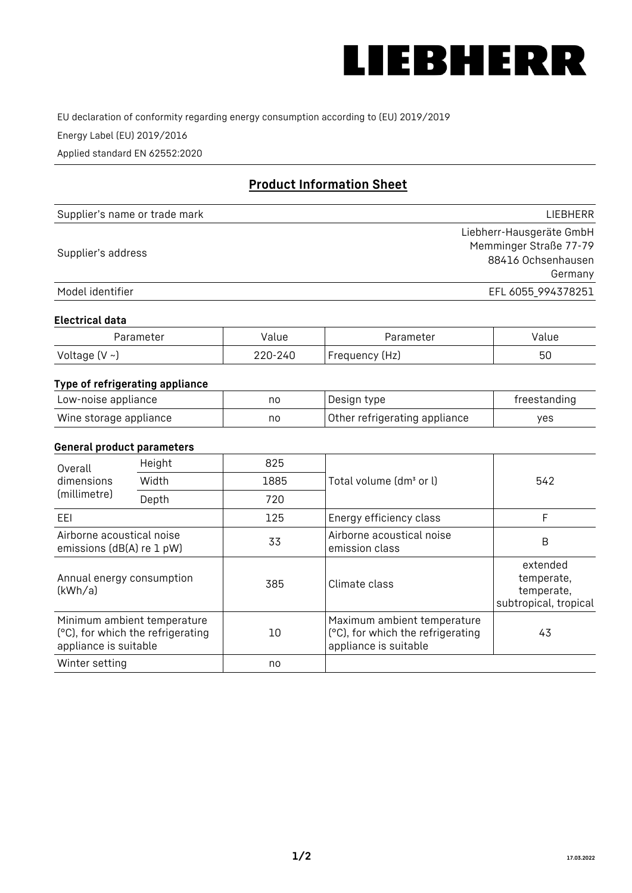

EU declaration of conformity regarding energy consumption according to (EU) 2019/2019

Energy Label (EU) 2019/2016

Applied standard EN 62552:2020

# **Product Information Sheet**

| Supplier's name or trade mark | <b>LIFBHFRR</b>          |
|-------------------------------|--------------------------|
|                               | Liebherr-Hausgeräte GmbH |
| Supplier's address            | Memminger Straße 77-79   |
|                               | 88416 Ochsenhausen       |
|                               | Germany                  |
| Model identifier              | EFL 6055_994378251       |

#### **Electrical data**

| Parameter           | Value   | Parameter      | Value |
|---------------------|---------|----------------|-------|
| Voltage (V $\sim$ ) | 220-240 | Frequency (Hz) | 50    |

## **Type of refrigerating appliance**

| Low-noise appliance    | nc | Design type                   | freestanding |
|------------------------|----|-------------------------------|--------------|
| Wine storage appliance | nc | Other refrigerating appliance | yes          |

#### **General product parameters**

| Height<br>Overall                                      |                                                                  | 825  |                                                                                           |                                                               |
|--------------------------------------------------------|------------------------------------------------------------------|------|-------------------------------------------------------------------------------------------|---------------------------------------------------------------|
| dimensions<br>(millimetre)                             | Width                                                            | 1885 | Total volume (dm <sup>3</sup> or l)                                                       | 542                                                           |
|                                                        | Depth                                                            | 720  |                                                                                           |                                                               |
| EEL                                                    |                                                                  | 125  | Energy efficiency class                                                                   | F                                                             |
| Airborne acoustical noise<br>emissions (dB(A) re 1 pW) |                                                                  | 33   | Airborne acoustical noise<br>emission class                                               | B                                                             |
| Annual energy consumption<br>(kWh/a)                   |                                                                  | 385  | Climate class                                                                             | extended<br>temperate,<br>temperate,<br>subtropical, tropical |
| appliance is suitable                                  | Minimum ambient temperature<br>(°C), for which the refrigerating | 10   | Maximum ambient temperature<br>(°C), for which the refrigerating<br>appliance is suitable | 43                                                            |
| Winter setting                                         |                                                                  | no   |                                                                                           |                                                               |